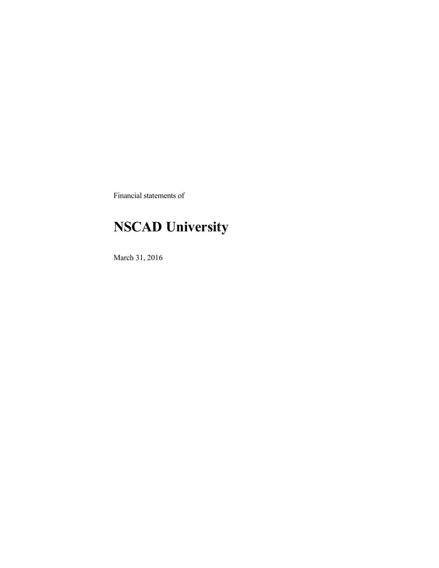Financial statements of

# **NSCAD University**

March 31, 2016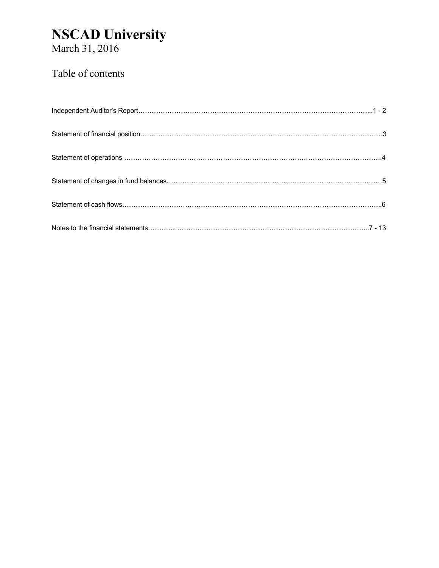March 31, 2016

# Table of contents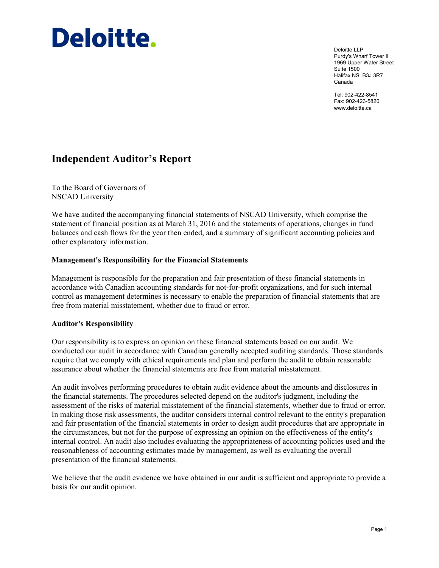# Deloitte.

Deloitte LLP Purdy's Wharf Tower II 1969 Upper Water Street Suite 1500 Halifax NS B3J 3R7 Canada

Tel: 902-422-8541 Fax: 902-423-5820 www.deloitte.ca

## **Independent Auditor's Report**

To the Board of Governors of NSCAD University

We have audited the accompanying financial statements of NSCAD University, which comprise the statement of financial position as at March 31, 2016 and the statements of operations, changes in fund balances and cash flows for the year then ended, and a summary of significant accounting policies and other explanatory information.

#### **Management's Responsibility for the Financial Statements**

Management is responsible for the preparation and fair presentation of these financial statements in accordance with Canadian accounting standards for not-for-profit organizations, and for such internal control as management determines is necessary to enable the preparation of financial statements that are free from material misstatement, whether due to fraud or error.

#### **Auditor's Responsibility**

Our responsibility is to express an opinion on these financial statements based on our audit. We conducted our audit in accordance with Canadian generally accepted auditing standards. Those standards require that we comply with ethical requirements and plan and perform the audit to obtain reasonable assurance about whether the financial statements are free from material misstatement.

An audit involves performing procedures to obtain audit evidence about the amounts and disclosures in the financial statements. The procedures selected depend on the auditor's judgment, including the assessment of the risks of material misstatement of the financial statements, whether due to fraud or error. In making those risk assessments, the auditor considers internal control relevant to the entity's preparation and fair presentation of the financial statements in order to design audit procedures that are appropriate in the circumstances, but not for the purpose of expressing an opinion on the effectiveness of the entity's internal control. An audit also includes evaluating the appropriateness of accounting policies used and the reasonableness of accounting estimates made by management, as well as evaluating the overall presentation of the financial statements.

We believe that the audit evidence we have obtained in our audit is sufficient and appropriate to provide a basis for our audit opinion.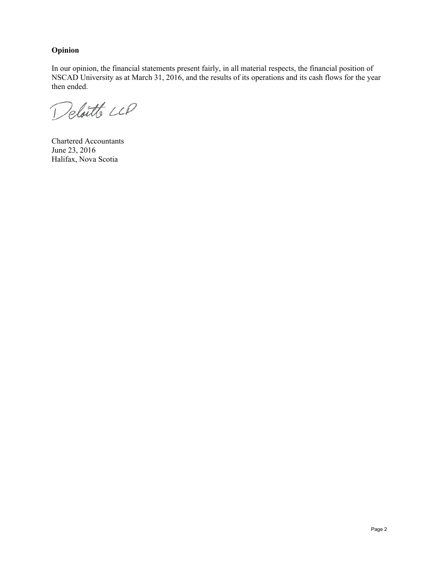#### **Opinion**

In our opinion, the financial statements present fairly, in all material respects, the financial position of NSCAD University as at March 31, 2016, and the results of its operations and its cash flows for the year then ended.

Deloitte LLP

Chartered Accountants June 23, 2016 Halifax, Nova Scotia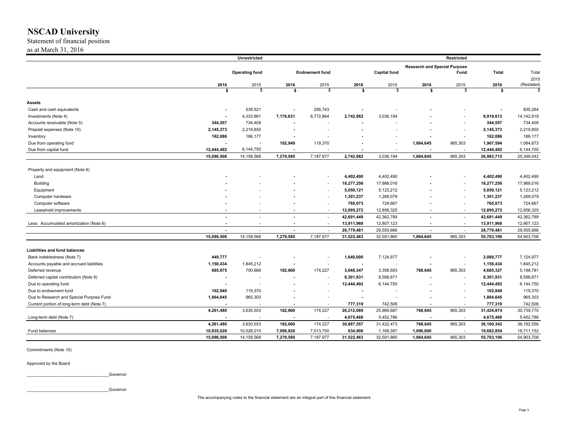Statement of financial position

|                                            |                | Unrestricted          |                          |                       |                          |                     |                                     | Restricted               |            |                   |
|--------------------------------------------|----------------|-----------------------|--------------------------|-----------------------|--------------------------|---------------------|-------------------------------------|--------------------------|------------|-------------------|
|                                            |                |                       |                          |                       |                          |                     | <b>Research and Special Purpose</b> |                          |            |                   |
|                                            |                | <b>Operating fund</b> |                          | <b>Endowment fund</b> |                          | <b>Capital fund</b> |                                     | Fund                     | Total      | Total             |
|                                            |                |                       |                          |                       |                          |                     |                                     |                          |            | 2015              |
|                                            | 2016<br>S.     | 2015<br>- \$          | 2016<br>s.               | 2015<br>s.            | 2016                     | 2015<br>- \$        | 2016<br>\$                          | 2015<br>£.               | 2016<br>\$ | (Restated)<br>. ጽ |
|                                            |                |                       |                          |                       | s.                       |                     |                                     |                          |            |                   |
| <b>Assets</b>                              |                |                       |                          |                       |                          |                     |                                     |                          |            |                   |
| Cash and cash equivalents                  | $\blacksquare$ | 539,521               | $\overline{\phantom{a}}$ | 295,743               |                          |                     |                                     |                          |            | 835,264           |
| Investments (Note 4)                       |                | 4,333,861             | 7,176,631                | 6,772,864             | 2,742,982                | 3,036,194           |                                     |                          | 9,919,613  | 14,142,919        |
| Accounts receivable (Note 5)               | 344,557        | 734,409               |                          |                       |                          |                     |                                     |                          | 344,557    | 734,409           |
| Prepaid expenses (Note 10)                 | 2,145,373      | 2,219,850             |                          |                       |                          |                     |                                     |                          | 2,145,373  | 2,219,850         |
| Inventory                                  | 162,086        | 186,177               |                          |                       |                          |                     |                                     | $\sim$                   | 162,086    | 186,177           |
| Due from operating fund                    |                |                       | 102,949                  | 119,370               |                          |                     | 1,864,645                           | 965,303                  | 1,967,594  | 1,084,673         |
| Due from capital fund                      | 12,444,492     | 6,144,750             | $\overline{\phantom{a}}$ |                       |                          | ٠                   | $\blacksquare$                      | $\overline{\phantom{a}}$ | 12,444,492 | 6,144,750         |
|                                            | 15,096,508     | 14,158,568            | 7,279,580                | 7,187,977             | 2,742,982                | 3,036,194           | 1,864,645                           | 965,303                  | 26,983,715 | 25,348,042        |
|                                            |                |                       |                          |                       |                          |                     |                                     |                          |            |                   |
| Property and equipment (Note 6)            |                |                       |                          |                       |                          |                     |                                     |                          |            |                   |
| Land                                       |                |                       |                          |                       | 4,402,490                | 4,402,490           |                                     |                          | 4,402,490  | 4,402,490         |
| Building                                   |                |                       |                          |                       | 18,277,256               | 17,988,016          |                                     |                          | 18,277,256 | 17,988,016        |
| Equipment                                  |                |                       |                          |                       | 5,050,121                | 5,123,212           |                                     |                          | 5,050,121  | 5,123,212         |
| Computer hardware                          |                |                       |                          |                       | 1,301,237                | 1,268,079           |                                     |                          | 1,301,237  | 1,268,079         |
| Computer software                          |                |                       |                          |                       | 765,073                  | 724,667             |                                     |                          | 765,073    | 724,667           |
| Leasehold improvements                     |                |                       |                          |                       | 12,895,272               | 12,856,325          |                                     |                          | 12,895,272 | 12,856,325        |
|                                            |                |                       | ÷.                       |                       | 42,691,449               | 42,362,789          | $\blacksquare$                      | $\sim$                   | 42,691,449 | 42,362,789        |
| Less: Accumulated amortization (Note 6)    |                |                       | $\blacksquare$           |                       | 13,911,968               | 12,807,123          | $\overline{\phantom{a}}$            |                          | 13,911,968 | 12,807,123        |
|                                            | $\blacksquare$ | ٠                     | $\blacksquare$           |                       | 28,779,481               | 29,555,666          | $\overline{\phantom{a}}$            | $\sim$                   | 28,779,481 | 29,555,666        |
|                                            | 15,096,508     | 14,158,568            | 7,279,580                | 7,187,977             | 31,522,463               | 32,591,860          | 1,864,645                           | 965,303                  | 55,763,196 | 54,903,708        |
|                                            |                |                       |                          |                       |                          |                     |                                     |                          |            |                   |
| Liabilities and fund balances              |                |                       |                          |                       |                          |                     |                                     |                          |            |                   |
| Bank indebtedness (Note 7)                 | 449,777        |                       |                          |                       | 1,640,000                | 7,124,977           |                                     |                          | 2,089,777  | 7,124,977         |
| Accounts payable and accrued liabilities   | 1,158,434      | 1,845,212             |                          |                       | $\overline{\phantom{a}}$ | ٠.                  |                                     |                          | 1,158,434  | 1,845,212         |
| Deferred revenue                           | 685,675        | 700,668               | 182,660                  | 174,227               | 3,048,347                | 3,358,583           | 768,645                             | 965,303                  | 4,685,327  | 5,198,781         |
| Deferred capital contribution (Note 8)     |                |                       |                          |                       | 8,301,931                | 8,598,871           |                                     |                          | 8,301,931  | 8,598,871         |
| Due to operating fund                      |                |                       |                          |                       | 12,444,492               | 6,144,750           |                                     |                          | 12,444,492 | 6,144,750         |
| Due to endowment fund                      | 102,949        | 119,370               |                          |                       |                          |                     |                                     |                          | 102,949    | 119,370           |
| Due to Research and Special Purpose Fund   | 1,864,645      | 965,303               |                          |                       |                          |                     |                                     | $\overline{\phantom{a}}$ | 1,864,645  | 965,303           |
| Current portion of long-term debt (Note 7) |                |                       |                          |                       | 777,319                  | 742,506             |                                     | $\sim$                   | 777,319    | 742,506           |
|                                            | 4,261,480      | 3,630,553             | 182,660                  | 174,227               | 26,212,089               | 25,969,687          | 768,645                             | 965,303                  | 31,424,874 | 30,739,770        |
| Long-term debt (Note 7)                    |                |                       |                          |                       | 4,675,468                | 5,452,786           |                                     |                          | 4,675,468  | 5,452,786         |
|                                            | 4,261,480      | 3,630,553             | 182,660                  | 174,227               | 30,887,557               | 31,422,473          | 768,645                             | 965,303                  | 36,100,342 | 36,192,556        |
| Fund balances                              | 10,835,028     | 10,528,015            | 7,096,920                | 7,013,750             | 634,906                  | 1,169,387           | 1,096,000                           |                          | 19,662,854 | 18,711,152        |
|                                            | 15,096,508     | 14,158,568            | 7,279,580                | 7,187,977             | 31,522,463               | 32,591,860          | 1,864,645                           | 965,303                  | 55,763,196 | 54,903,708        |

Commitments (Note 10)

Approved by the Board

\_\_\_\_\_\_\_\_\_\_\_\_\_\_\_\_\_\_\_\_\_\_\_\_\_\_\_\_\_\_\_\_\_\_\_Governor

\_\_\_\_\_\_\_\_\_\_\_\_\_\_\_\_\_\_\_\_\_\_\_\_\_\_\_\_\_\_\_\_\_\_\_Governor

The accompanying notes to the financial statement are an integral part of this financial statement.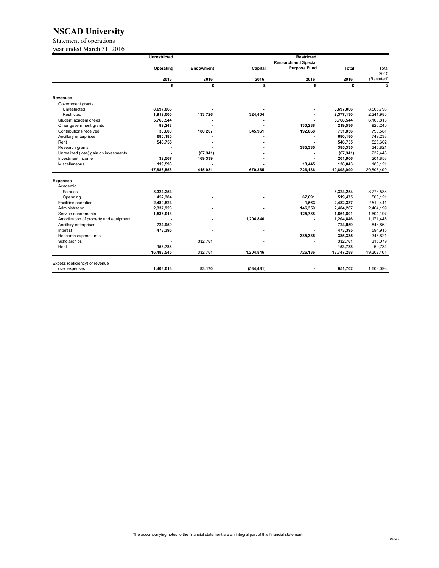Statement of operations

year ended March 31, 2016

|                                        | <b>Unrestricted</b> |           |            | <b>Restricted</b>           |              |               |
|----------------------------------------|---------------------|-----------|------------|-----------------------------|--------------|---------------|
|                                        |                     |           |            | <b>Research and Special</b> |              |               |
|                                        | Operating           | Endowment | Capital    | <b>Purpose Fund</b>         | <b>Total</b> | Total<br>2015 |
|                                        | 2016                | 2016      | 2016       | 2016                        | 2016         | (Restated)    |
|                                        | \$                  | \$        | \$         | \$                          | \$           | \$.           |
| <b>Revenues</b>                        |                     |           |            |                             |              |               |
| Government grants                      |                     |           |            |                             |              |               |
| Unrestricted                           | 8,697,066           |           |            |                             | 8,697,066    | 8,505,793     |
| Restricted                             | 1,919,000           | 133,726   | 324,404    |                             | 2,377,130    | 2,241,986     |
| Student academic fees                  | 5,768,544           |           |            |                             | 5,768,544    | 6,103,816     |
| Other government grants                | 89,248              |           |            | 130,288                     | 219,536      | 920,240       |
| Contributions received                 | 33,600              | 180,207   | 345,961    | 192,068                     | 751,836      | 790,581       |
| Ancillary enterprises                  | 680,180             |           |            |                             | 680,180      | 749,233       |
| Rent                                   | 546,755             |           |            |                             | 546,755      | 525,602       |
| Research grants                        |                     |           |            | 385,335                     | 385,335      | 345,821       |
| Unrealized (loss) gain on investments  |                     | (67, 341) |            |                             | (67, 341)    | 232,448       |
| Investment income                      | 32,567              | 169,339   |            |                             | 201,906      | 201,858       |
| Miscellaneous                          | 119,598             |           |            | 18,445                      | 138,043      | 188,121       |
|                                        | 17,886,558          | 415,931   | 670,365    | 726,136                     | 19,698,990   | 20,805,499    |
| <b>Expenses</b>                        |                     |           |            |                             |              |               |
| Academic                               |                     |           |            |                             |              |               |
| Salaries                               | 8,324,254           |           |            |                             | 8,324,254    | 8,773,586     |
| Operating                              | 452,384             |           |            | 67,091                      | 519,475      | 500,121       |
| Facilities operation                   | 2,480,824           |           |            | 1,563                       | 2,482,387    | 2,519,441     |
| Administration                         | 2,337,928           |           |            | 146,359                     | 2,484,287    | 2,464,199     |
| Service departments                    | 1,536,013           |           |            | 125,788                     | 1,661,801    | 1,604,197     |
| Amortization of property and equipment |                     |           | 1,204,846  |                             | 1,204,846    | 1,171,446     |
| Ancillary enterprises                  | 724,959             |           |            |                             | 724,959      | 843,862       |
| Interest                               | 473,395             |           |            |                             | 473,395      | 594,915       |
| Research expenditures                  |                     |           |            | 385,335                     | 385,335      | 345,821       |
| Scholarships                           |                     | 332,761   |            |                             | 332,761      | 315,079       |
| Rent                                   | 153,788             |           |            |                             | 153,788      | 69,734        |
|                                        | 16,483,545          | 332,761   | 1,204,846  | 726,136                     | 18,747,288   | 19,202,401    |
|                                        |                     |           |            |                             |              |               |
| Excess (deficiency) of revenue         |                     |           |            |                             |              |               |
| over expenses                          | 1,403,013           | 83,170    | (534, 481) |                             | 951,702      | 1,603,098     |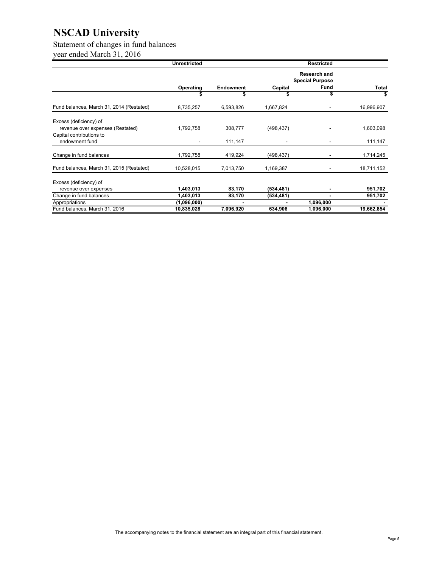## Statement of changes in fund balances

year ended March 31, 2016

|                                          | <b>Unrestricted</b> |           |            | <b>Restricted</b>                                     |            |
|------------------------------------------|---------------------|-----------|------------|-------------------------------------------------------|------------|
|                                          | Operating           | Endowment | Capital    | <b>Research and</b><br><b>Special Purpose</b><br>Fund | Total      |
|                                          | \$                  | \$        | \$         | \$                                                    | \$         |
| Fund balances, March 31, 2014 (Restated) | 8,735,257           | 6,593,826 | 1,667,824  |                                                       | 16,996,907 |
| Excess (deficiency) of                   |                     |           |            |                                                       |            |
| revenue over expenses (Restated)         | 1,792,758           | 308,777   | (498, 437) |                                                       | 1,603,098  |
| Capital contributions to                 |                     |           |            |                                                       |            |
| endowment fund                           |                     | 111,147   |            |                                                       | 111,147    |
| Change in fund balances                  | 1,792,758           | 419,924   | (498, 437) |                                                       | 1,714,245  |
| Fund balances, March 31, 2015 (Restated) | 10,528,015          | 7,013,750 | 1,169,387  |                                                       | 18,711,152 |
| Excess (deficiency) of                   |                     |           |            |                                                       |            |
| revenue over expenses                    | 1,403,013           | 83,170    | (534, 481) |                                                       | 951,702    |
| Change in fund balances                  | 1,403,013           | 83,170    | (534, 481) | ٠                                                     | 951,702    |
| Appropriations                           | (1,096,000)         | ٠         |            | 1,096,000                                             |            |
| Fund balances, March 31, 2016            | 10,835,028          | 7,096,920 | 634,906    | 1,096,000                                             | 19,662,854 |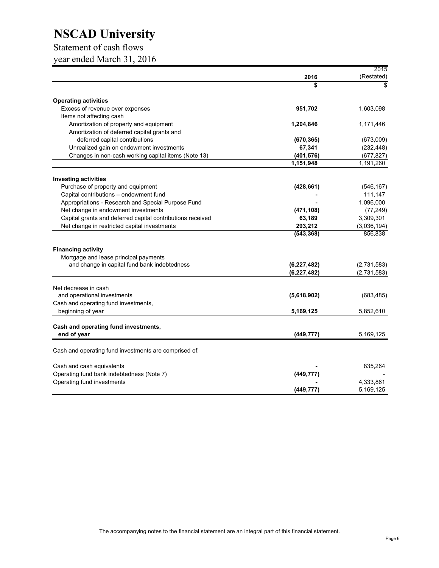### Statement of cash flows

year ended March 31, 2016

|                                                            |               | 2015        |
|------------------------------------------------------------|---------------|-------------|
|                                                            | 2016          | (Restated)  |
|                                                            | \$            | \$          |
| <b>Operating activities</b>                                |               |             |
| Excess of revenue over expenses                            | 951,702       | 1,603,098   |
| Items not affecting cash                                   |               |             |
| Amortization of property and equipment                     | 1,204,846     | 1,171,446   |
| Amortization of deferred capital grants and                |               |             |
| deferred capital contributions                             | (670, 365)    | (673,009)   |
| Unrealized gain on endowment investments                   | 67,341        | (232, 448)  |
| Changes in non-cash working capital items (Note 13)        | (401, 576)    | (677, 827)  |
|                                                            | 1,151,948     | 1,191,260   |
|                                                            |               |             |
| <b>Investing activities</b>                                |               |             |
| Purchase of property and equipment                         | (428, 661)    | (546, 167)  |
| Capital contributions - endowment fund                     |               | 111,147     |
| Appropriations - Research and Special Purpose Fund         |               | 1,096,000   |
| Net change in endowment investments                        | (471, 108)    | (77, 249)   |
| Capital grants and deferred capital contributions received | 63,189        | 3,309,301   |
| Net change in restricted capital investments               | 293,212       | (3,036,194) |
|                                                            | (543, 368)    | 856,838     |
| <b>Financing activity</b>                                  |               |             |
| Mortgage and lease principal payments                      |               |             |
| and change in capital fund bank indebtedness               | (6, 227, 482) | (2,731,583) |
|                                                            | (6,227,482)   | (2,731,583) |
|                                                            |               |             |
| Net decrease in cash                                       |               |             |
| and operational investments                                | (5,618,902)   | (683, 485)  |
| Cash and operating fund investments,                       |               |             |
| beginning of year                                          | 5,169,125     | 5,852,610   |
|                                                            |               |             |
| Cash and operating fund investments,                       |               | 5,169,125   |
| end of year                                                | (449, 777)    |             |
| Cash and operating fund investments are comprised of:      |               |             |
| Cash and cash equivalents                                  |               | 835,264     |
| Operating fund bank indebtedness (Note 7)                  | (449, 777)    |             |
| Operating fund investments                                 |               | 4,333,861   |
|                                                            | (449, 777)    | 5,169,125   |
|                                                            |               |             |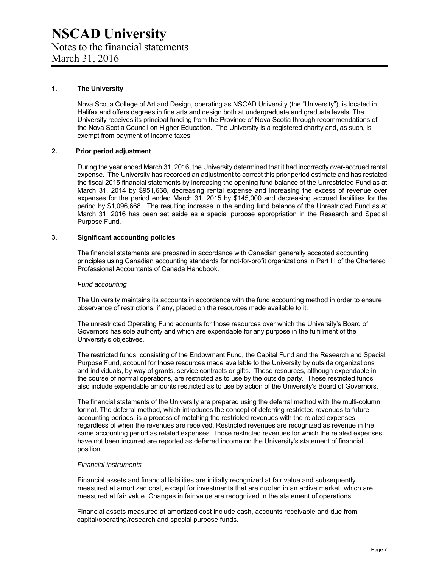#### **1. The University**

Nova Scotia College of Art and Design, operating as NSCAD University (the "University"), is located in Halifax and offers degrees in fine arts and design both at undergraduate and graduate levels. The University receives its principal funding from the Province of Nova Scotia through recommendations of the Nova Scotia Council on Higher Education. The University is a registered charity and, as such, is exempt from payment of income taxes.

#### **2. Prior period adjustment**

During the year ended March 31, 2016, the University determined that it had incorrectly over-accrued rental expense. The University has recorded an adjustment to correct this prior period estimate and has restated the fiscal 2015 financial statements by increasing the opening fund balance of the Unrestricted Fund as at March 31, 2014 by \$951,668, decreasing rental expense and increasing the excess of revenue over expenses for the period ended March 31, 2015 by \$145,000 and decreasing accrued liabilities for the period by \$1,096,668. The resulting increase in the ending fund balance of the Unrestricted Fund as at March 31, 2016 has been set aside as a special purpose appropriation in the Research and Special Purpose Fund.

#### **3. Significant accounting policies**

The financial statements are prepared in accordance with Canadian generally accepted accounting principles using Canadian accounting standards for not-for-profit organizations in Part III of the Chartered Professional Accountants of Canada Handbook.

#### *Fund accounting*

The University maintains its accounts in accordance with the fund accounting method in order to ensure observance of restrictions, if any, placed on the resources made available to it.

The unrestricted Operating Fund accounts for those resources over which the University's Board of Governors has sole authority and which are expendable for any purpose in the fulfillment of the University's objectives.

The restricted funds, consisting of the Endowment Fund, the Capital Fund and the Research and Special Purpose Fund, account for those resources made available to the University by outside organizations and individuals, by way of grants, service contracts or gifts. These resources, although expendable in the course of normal operations, are restricted as to use by the outside party. These restricted funds also include expendable amounts restricted as to use by action of the University's Board of Governors.

The financial statements of the University are prepared using the deferral method with the multi-column format. The deferral method, which introduces the concept of deferring restricted revenues to future accounting periods, is a process of matching the restricted revenues with the related expenses regardless of when the revenues are received. Restricted revenues are recognized as revenue in the same accounting period as related expenses. Those restricted revenues for which the related expenses have not been incurred are reported as deferred income on the University's statement of financial position.

#### *Financial instruments*

Financial assets and financial liabilities are initially recognized at fair value and subsequently measured at amortized cost, except for investments that are quoted in an active market, which are measured at fair value. Changes in fair value are recognized in the statement of operations.

Financial assets measured at amortized cost include cash, accounts receivable and due from capital/operating/research and special purpose funds.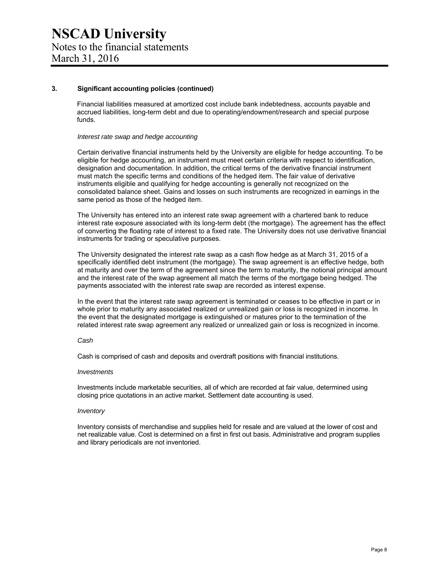#### **3. Significant accounting policies (continued)**

Financial liabilities measured at amortized cost include bank indebtedness, accounts payable and accrued liabilities, long-term debt and due to operating/endowment/research and special purpose funds.

#### *Interest rate swap and hedge accounting*

Certain derivative financial instruments held by the University are eligible for hedge accounting. To be eligible for hedge accounting, an instrument must meet certain criteria with respect to identification, designation and documentation. In addition, the critical terms of the derivative financial instrument must match the specific terms and conditions of the hedged item. The fair value of derivative instruments eligible and qualifying for hedge accounting is generally not recognized on the consolidated balance sheet. Gains and losses on such instruments are recognized in earnings in the same period as those of the hedged item.

The University has entered into an interest rate swap agreement with a chartered bank to reduce interest rate exposure associated with its long-term debt (the mortgage). The agreement has the effect of converting the floating rate of interest to a fixed rate. The University does not use derivative financial instruments for trading or speculative purposes.

The University designated the interest rate swap as a cash flow hedge as at March 31, 2015 of a specifically identified debt instrument (the mortgage). The swap agreement is an effective hedge, both at maturity and over the term of the agreement since the term to maturity, the notional principal amount and the interest rate of the swap agreement all match the terms of the mortgage being hedged. The payments associated with the interest rate swap are recorded as interest expense.

In the event that the interest rate swap agreement is terminated or ceases to be effective in part or in whole prior to maturity any associated realized or unrealized gain or loss is recognized in income. In the event that the designated mortgage is extinguished or matures prior to the termination of the related interest rate swap agreement any realized or unrealized gain or loss is recognized in income.

#### *Cash*

Cash is comprised of cash and deposits and overdraft positions with financial institutions.

#### *Investments*

Investments include marketable securities, all of which are recorded at fair value, determined using closing price quotations in an active market. Settlement date accounting is used.

#### *Inventory*

Inventory consists of merchandise and supplies held for resale and are valued at the lower of cost and net realizable value. Cost is determined on a first in first out basis. Administrative and program supplies and library periodicals are not inventoried.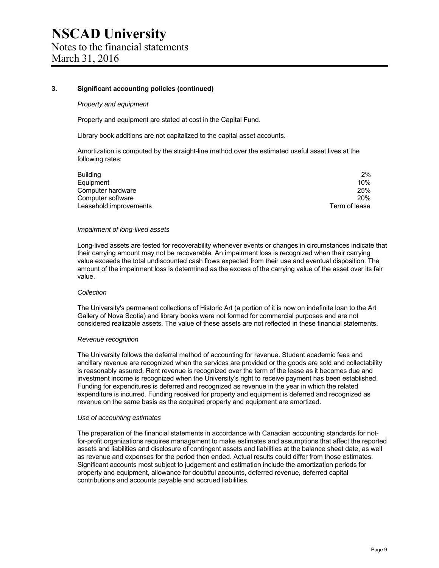#### **3. Significant accounting policies (continued)**

#### *Property and equipment*

Property and equipment are stated at cost in the Capital Fund.

Library book additions are not capitalized to the capital asset accounts.

Amortization is computed by the straight-line method over the estimated useful asset lives at the following rates:

| <b>Building</b>        | $2\%$         |
|------------------------|---------------|
| Equipment              | 10%           |
| Computer hardware      | 25%           |
| Computer software      | 20%           |
| Leasehold improvements | Term of lease |

#### *Impairment of long-lived assets*

Long-lived assets are tested for recoverability whenever events or changes in circumstances indicate that their carrying amount may not be recoverable. An impairment loss is recognized when their carrying value exceeds the total undiscounted cash flows expected from their use and eventual disposition. The amount of the impairment loss is determined as the excess of the carrying value of the asset over its fair value.

#### *Collection*

The University's permanent collections of Historic Art (a portion of it is now on indefinite loan to the Art Gallery of Nova Scotia) and library books were not formed for commercial purposes and are not considered realizable assets. The value of these assets are not reflected in these financial statements.

#### *Revenue recognition*

The University follows the deferral method of accounting for revenue. Student academic fees and ancillary revenue are recognized when the services are provided or the goods are sold and collectability is reasonably assured. Rent revenue is recognized over the term of the lease as it becomes due and investment income is recognized when the University's right to receive payment has been established. Funding for expenditures is deferred and recognized as revenue in the year in which the related expenditure is incurred. Funding received for property and equipment is deferred and recognized as revenue on the same basis as the acquired property and equipment are amortized.

#### *Use of accounting estimates*

The preparation of the financial statements in accordance with Canadian accounting standards for notfor-profit organizations requires management to make estimates and assumptions that affect the reported assets and liabilities and disclosure of contingent assets and liabilities at the balance sheet date, as well as revenue and expenses for the period then ended. Actual results could differ from those estimates. Significant accounts most subject to judgement and estimation include the amortization periods for property and equipment, allowance for doubtful accounts, deferred revenue, deferred capital contributions and accounts payable and accrued liabilities.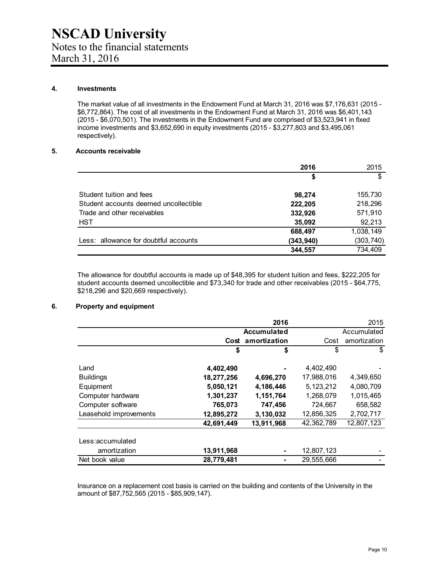#### **4. Investments**

The market value of all investments in the Endowment Fund at March 31, 2016 was \$7,176,631 (2015 - \$6,772,864). The cost of all investments in the Endowment Fund at March 31, 2016 was \$6,401,143 (2015 - \$6,070,501). The investments in the Endowment Fund are comprised of \$3,523,941 in fixed income investments and \$3,652,690 in equity investments (2015 - \$3,277,803 and \$3,495,061 respectively).

#### **5. Accounts receivable**

|                                       | 2016       | 2015       |
|---------------------------------------|------------|------------|
|                                       | \$         |            |
| Student tuition and fees              | 98,274     | 155,730    |
| Student accounts deemed uncollectible | 222,205    | 218,296    |
| Trade and other receivables           | 332,926    | 571,910    |
| <b>HST</b>                            | 35,092     | 92,213     |
|                                       | 688,497    | 1,038,149  |
| Less: allowance for doubtful accounts | (343, 940) | (303, 740) |
|                                       | 344,557    | 734,409    |

The allowance for doubtful accounts is made up of \$48,395 for student tuition and fees, \$222,205 for student accounts deemed uncollectible and \$73,340 for trade and other receivables (2015 - \$64,775, \$218,296 and \$20,669 respectively).

#### **6. Property and equipment**

|                        |            | 2016         |             | 2015         |
|------------------------|------------|--------------|-------------|--------------|
|                        |            | Accumulated  |             | Accumulated  |
|                        | Cost       | amortization | Cost        | amortization |
|                        | \$         | \$           | \$          | \$           |
| Land                   | 4,402,490  |              | 4,402,490   |              |
| <b>Buildings</b>       | 18,277,256 | 4,696,270    | 17,988,016  | 4,349,650    |
| Equipment              | 5,050,121  | 4,186,446    | 5, 123, 212 | 4,080,709    |
| Computer hardware      | 1,301,237  | 1,151,764    | 1,268,079   | 1,015,465    |
| Computer software      | 765,073    | 747,456      | 724,667     | 658,582      |
| Leasehold improvements | 12,895,272 | 3,130,032    | 12,856,325  | 2,702,717    |
|                        | 42,691,449 | 13,911,968   | 42,362,789  | 12,807,123   |
| Less:accumulated       |            |              |             |              |
| amortization           | 13,911,968 | ۰            | 12,807,123  |              |
| Net book value         | 28,779,481 |              | 29,555,666  |              |

Insurance on a replacement cost basis is carried on the building and contents of the University in the amount of \$87,752,565 (2015 - \$85,909,147).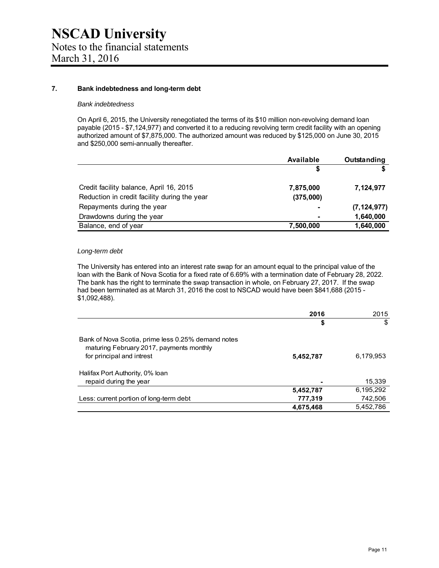#### **7. Bank indebtedness and long-term debt**

#### *Bank indebtedness*

On April 6, 2015, the University renegotiated the terms of its \$10 million non-revolving demand loan payable (2015 - \$7,124,977) and converted it to a reducing revolving term credit facility with an opening authorized amount of \$7,875,000. The authorized amount was reduced by \$125,000 on June 30, 2015 and \$250,000 semi-annually thereafter.

|                                              | <b>Available</b> | Outstanding   |
|----------------------------------------------|------------------|---------------|
|                                              |                  |               |
| Credit facility balance, April 16, 2015      | 7,875,000        | 7,124,977     |
| Reduction in credit facility during the year | (375,000)        |               |
| Repayments during the year                   |                  | (7, 124, 977) |
| Drawdowns during the year                    |                  | 1,640,000     |
| Balance, end of year                         | 7,500,000        | 1,640,000     |

#### *Long-term debt*

The University has entered into an interest rate swap for an amount equal to the principal value of the loan with the Bank of Nova Scotia for a fixed rate of 6.69% with a termination date of February 28, 2022. The bank has the right to terminate the swap transaction in whole, on February 27, 2017. If the swap had been terminated as at March 31, 2016 the cost to NSCAD would have been \$841,688 (2015 - \$1,092,488).

|                                                                                                                             | 2016                 | 2015                 |
|-----------------------------------------------------------------------------------------------------------------------------|----------------------|----------------------|
|                                                                                                                             | \$                   | \$                   |
| Bank of Nova Scotia, prime less 0.25% demand notes<br>maturing February 2017, payments monthly<br>for principal and intrest | 5,452,787            | 6,179,953            |
| Halifax Port Authority, 0% loan<br>repaid during the year                                                                   | ۰                    | 15,339               |
| Less: current portion of long-term debt                                                                                     | 5,452,787<br>777,319 | 6.195.292<br>742,506 |
|                                                                                                                             | 4,675,468            | 5,452,786            |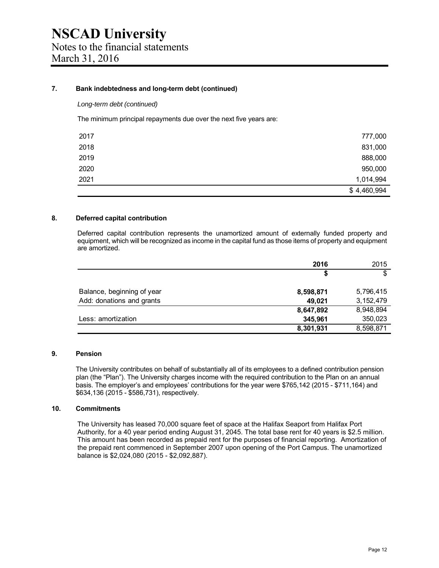#### **7. Bank indebtedness and long-term debt (continued)**

*Long-term debt (continued)* 

The minimum principal repayments due over the next five years are:

| 2017 | 777,000     |
|------|-------------|
| 2018 | 831,000     |
| 2019 | 888,000     |
| 2020 | 950,000     |
| 2021 | 1,014,994   |
|      | \$4,460,994 |

#### **8. Deferred capital contribution**

Deferred capital contribution represents the unamortized amount of externally funded property and equipment, which will be recognized as income in the capital fund as those items of property and equipment are amortized.

|                            | 2016      | 2015        |
|----------------------------|-----------|-------------|
|                            | \$        | \$          |
| Balance, beginning of year | 8,598,871 | 5,796,415   |
| Add: donations and grants  | 49,021    | 3, 152, 479 |
|                            | 8,647,892 | 8,948,894   |
| Less: amortization         | 345.961   | 350,023     |
|                            | 8,301,931 | 8,598,871   |

#### **9. Pension**

 The University contributes on behalf of substantially all of its employees to a defined contribution pension plan (the "Plan"). The University charges income with the required contribution to the Plan on an annual basis. The employer's and employees' contributions for the year were \$765,142 (2015 - \$711,164) and \$634,136 (2015 - \$586,731), respectively.

#### **10. Commitments**

The University has leased 70,000 square feet of space at the Halifax Seaport from Halifax Port Authority, for a 40 year period ending August 31, 2045. The total base rent for 40 years is \$2.5 million. This amount has been recorded as prepaid rent for the purposes of financial reporting. Amortization of the prepaid rent commenced in September 2007 upon opening of the Port Campus. The unamortized balance is \$2,024,080 (2015 - \$2,092,887).